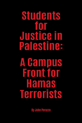**Students** for **Justice in** Palestine: **A Gampus Front for Hamas** Terrorists

**By John Perazzo**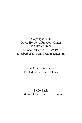Copyright 2016 David Horowitz Freedom Center PO BOX 55089 Sherman Oaks, CA 91499-1964 Elizabeth@horowitzfreedomcenter.org

> www.frontpagemag.com Printed in the United States

\$3.00 Each \$1.00 each for orders of 25 or more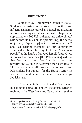## **Introduction**

Founded at UC Berkeley in October of 2000,<sup>1</sup> Students for Justice in Palestine (SJP) is the most influential and most radical anti-Israel organization in American higher education, with chapters at approximately 200 U.S. colleges and universities.2 SJP defines its mission as "promot[ing] the cause of justice," "speak[ing] out against oppression," and "educat[ing] members of our community specifically about the plight of the Palestinian people" at the hands of alleged Israeli depravities, in hopes that "one day [the Palestinians] will be free from occupation, free from fear, free from poverty, and … able to determine their own fate."3 The real agenda of SJP, however, is not justice for Palestinians but support for the Hamas terrorists who seek to end Israel's existence as a sovereign Jewish state.

SJP literature fails to mention that Palestinians live under the direct rule of two dictatorial terrorist regimes in the West Bank and Gaza, which receive

<sup>1</sup>http://tinyurl.com/jfq5zrl ; http://tinyurl.com/hn6bcc2

<sup>2</sup> http://www.amchainitiative.org/sjp-chapters

 $3$  https://www.facebook.com/sipal/info/?tab=page\_info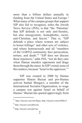more than a billion dollars annually in funding from the United States and Europe.<sup>4</sup> What many of the campus groups that support SJP also fail to recognize, notes the Jewish News Service (JNS), is that "the 'Palestine' that SJP defends is not only anti-Semitic, but also misogynistic, homophobic, racist, anti-Christian, and fascist." That is, "SJP defends a place where women are subject to honor killings" and other acts of violence, and where homosexuals and all "members of the LGBTQ community face persecution, torture, and death."5 "SJP does not discuss these injustices," adds JNS, "nor do they care when Hamas murders opponents and drags them through the street. In SJP's mind, none of this matters, because 'Israel is the oppressor.'"

SJP was created in 2000 by Hamas supporter Hatem Bazian and pro-Hamas activist Snehal Shingavi, a member of the International Socialist Organization, to wage a campus war against Israel on behalf of Hamas.<sup>6</sup> Bazian has quoted approvingly from

<sup>4</sup> http://tinyurl.com/o4c5bgm; http://tinyurl.com/no98kw5

<sup>5</sup> http://tinyurl.com/jb8cy6a

<sup>6</sup> http://tinyurl.com/jdc5sac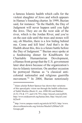a famous Islamic hadith which calls for the violent slaughter of Jews and which appears in Hamas's founding charter. In 1999, Bazian said, for instance: "In the Hadith, the Day of Judgment will never happen until you fight the Jews. They are on the west side of the river, which is the Jordan River, and you're on the east side until the trees and stones will say, oh Muslim, there is a Jew hiding behind me. Come and kill him! And that's in the Hadith about this, this is a future battle before the Day of Judgment."7 Bazian once spoke at a fundraising dinner for KindHearts for Charitable Humanitarian Development, a Hamas front group that the U.S. government later shut down because of the organization's ties to Islamic terrorism. On another occasion he portrayed Hamas as "a classical anticolonial nationalist and religious guerrilla movement."8 In 2004, Bazian notoriously

<sup>7</sup> Islam scholar Robert Spencer has shown that variations of this apocalyptic vision run through the hadith collections of Sahih Muslim (Book 41, nos. 6980-86) and Bukhari (4.52.176 & 177, and 4.56.791); http://tinyurl.com/jxjf428; http://www.mideastweb.org/hamas.htm; http://tinyurl.com/ hl2lwt9

<sup>8</sup> http://www.campus-watch.org/article/id/5425; http://www. discoverthenetworks.org/Articles/Muslin%20Hate%20 Groups.pdf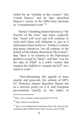called for an "intifada in this country" (the United States), $\frac{9}{2}$  and he later described Hamas's victory in the 2006 Gaza elections as "a monumental event."<sup>10</sup>

Hamas's founding charter denounces "the Nazism of the Jews" and states explicitly that "Israel will exist and will continue to exist until Islam will obliterate it, just as it obliterated others before it." Further, it claims that peace initiatives "are all contrary to the beliefs of the Islamic Resistance Movement"; that "there is no solution to the Palestinian problem except by Jihad"; and that "war for the sake of Allah" is a noble venture that requires the faithful to "assault and kill" on a massive scale.<sup>11</sup>

Notwithstanding this agenda of mass murder and genocide, the website of SJP's UC Berkeley chapter describes Hamas not as a terrorist group (as U.S. and European governments classify it), but rather, in

<sup>9</sup> http://www.campus-watch.org/article/id/11850

<sup>10</sup> http://tinyurl.com/jdc5sac

<sup>11</sup> http://www.mideastweb.org/hamas.htm; http://fas.org/irp/ world/para/docs/880818.htm; http://tinyurl.com/j37k3lq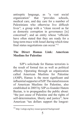antiseptic language, as "a vast social organization" that "provides schools, medical care, and day care for a number of Palestinians who otherwise live difficult lives"; a group with a "clean record as far as domestic corruption in governance [is] concerned"; and an entity whose "officials have often stated that they are ready for a long-term truce with Israel during which time final status negotiations can occur."<sup>12</sup>

### **The Direct Hamas Link: American Muslims for Palestine**

SJP's solicitude for Hamas terrorists is the result of formal ties as well as political affinity. Operating through an organization called American Muslims for Palestine (AMP), Hamas is the most significant and influential supporter of SJP. The stated mission of American Muslims for Palestine, also established in 2005 by SJP co-founder Hatem Bazian, is to propagandize the public about: "the just cause of Palestine and the rights of self-determination, liberty and justice"; how American "tax dollars support the longest-

<sup>12</sup> http://calsjp.org/key-issues/general-background/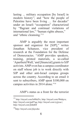lasting ... military occupation [by Israel] in modern history"; and "how the people of Palestine have been living … for decades" under an Israeli "occupation" characterized by "flagrant and continual violations of international law," "human rights abuses," and "ethnic cleansing."13

AMP is arguably the most important sponsor and organizer for [SJP]," writes Jonathan Schanzer, vice president of research at the Foundation for the Defense of Democracies. "AMP provides speakers, training, printed materials, a so-called 'Apartheid Wall,' and [financial] grants to SJP activists. AMP even has a campus coordinator on staff whose job is to work directly with SJP and other anti-Israel campus groups across the country. According to an email it sent to subscribers, AMP spent \$100,000 on campus activities in 2014 alone."14

AMP's status as a front for the terrorist

<sup>13</sup> http://tinyurl.com/h48kd5x; http://tinyurl.com/9btdqvu; http://tinyurl.com/jpdf7qq; http://tinyurl.com/zyjjxuc/; http://tinyurl.com/jbdtd68

<sup>14</sup>http://tinyurl.com/jfqwuho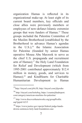organization Hamas is reflected in its organizational make-up. At least eight of its current board members, key officials and close allies were previously members or employees of now-defunct Islamic extremist groups that were funders of Hamas.<sup>15</sup> These groups included the Palestine Committee of the Muslim Brotherhood (established by the Brotherhood to advance Hamas's agendas in the  $U.S.$ );<sup>16</sup> the Islamic Association for Palestine (founded by senior Hamas operative Mousa Abu Marzook to serve as the chief U.S. propaganda and recruitment arm of Hamas);<sup>17</sup> the Holy Land Foundation for Relief and Development (which from 1995-2001 contributed approximately \$12.4 million in money, goods, and services to Hamas);<sup>18</sup> and KindHearts for Charitable Humanitarian Development (a Hamas

<sup>15</sup>http://tinyurl.com/jr8x3ll; http://tinyurl.com/jfqwuho

<sup>16</sup> http://tinyurl.com/hx6e8sq; https://counterjihadreport. com/category/american-muslims-for-palestine/

http://www.discoverthenetworks.org/groupProfile. asp?grpid=6215

<sup>18</sup> https://www.justice.gov/opa/pr/federal-judge-handsdowns-sentences-holy-land-foundation-case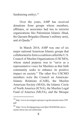fundraising entity).<sup>19</sup>

Over the years, AMP has received donations from groups whose members, affiliates, or associates had ties to terrorist organizations like Palestinian Islamic Jihad, the Qassam Brigades (Hamas's military arm), and al-Qaeda.20

In March 2014, AMP was one of six major national American Islamic groups that collaborated to form a coalition called the U.S. Council of Muslim Organizations (USCMO), whose stated purpose was to "serve as a representative voice for Muslims as that faith community seeks to enhance its positive impact on society." The other five USCMO members were the Council on American-Islamic Relations (CAIR), the Muslim American Society (MAS), the Islamic Circle of North America (ICNA), the Muslim Legal Fund of America (MLFA), and the Mosque

<sup>19</sup> http://www.investigativeproject.org/documents/misc/299. pdf

<sup>20</sup> http://www.frontpagemag.com/fpm/262640/bds-movements-terror-ties-ari-lieberman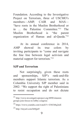Foundation. According to the Investigative Project on Terrorism, three of USCMO's members—AMP, CAIR and MAS— "have roots in the Muslim Brotherhood or in ... the Palestine Committee."21 The Muslim Brotherhood is "the parent organization of Hamas and al-Qaeda."<sup>22</sup>

 At its annual conference in 2014, AMP showed its true colors by inviting participants to "come and navigate the fine line between legal activism and material support for terrorism."23

### **SJP and Terrorism**

Not surprisingly, given these roots and sponsorships, SJP's rank-and-file members support Islamic terrorism. As a Columbia University SJP member said in 2002: "We support the right of Palestinians to resist occupation and do not dictate

<sup>21</sup> http://www.investigativeproject.org/4890/islamistgroups-join-forces-to-lobby-congress

<sup>22</sup> https://www.youtube.com/watch?v=J34Ub8q2niE

<sup>23</sup> http://tinyurl.com/h84jjn9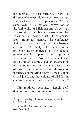the methods of that struggle. There's a difference between violence of the oppressed and violence of the oppressors."24 That same year, SJP's national convention at the University of Michigan-Ann Arbor was sponsored by the Islamic Association for Palestine, a now-defunct, Illinois-based front group for Hamas. The conference featured keynote speaker Sami Al-Arian, a former University of South Florida professor (later indicted by the federal government for supporting terror groups) who served as the North American leader of Palestinian Islamic Jihad, an organization whose objectives include the destruction of Israel, the elimination of all Western influences in the Middle East by means of an armed jihad, and the welding of all Muslim countries into a single Islamic caliphate.<sup>25</sup>

SJP routinely denounces Israeli selfdefense measures as assaults on the civil

<sup>24</sup> http://www.villagevoice.com/news/tipping-towardhate-6413513

http://archive.frontpagemag.com/Printable. aspx?ArtId=20854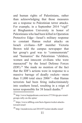and human rights of Palestinians, rather than acknowledging that those measures are a response to Palestinian terror attacks. For example, in a September 2014 "vigil" at Binghamton University in honor of Palestinians who had been killed in Operation Protective Edge—Israel's military response to constant Hamas rocket attacks on Israeli civilians—SJP member Victoria Brown told the campus newspaper that her group's goal was to "commemorate" and "humanize" the Palestinian "children, women and innocent civilians who were massacred" by the Israel Defense Forces (IDF).26 She made no mention of the fact that the IDF's actions were in response to a massive barrage of deadly rockets—more than  $11,000$  total since  $2006^{27}$ —that Hamas terrorists had been firing indiscriminately into southern Israel, resulting in a reign of terror responsible for 38 Israeli deaths.<sup>28</sup>

<sup>26</sup> http://www.bupipedream.com/news/37336/sjp-pro-israelgroups-rally-on-the-spine/

<sup>27</sup> https://www.idfblog.com/facts-figures/rocket-attackstoward-israel/

<sup>28</sup> http://mondoweiss.net/2014/07/rocket-deaths-israel/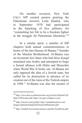On another occasion, New York City's SJP created posters praising the Palestinian terrorist Leila Khaled, who in September 1970 had participated in the hijacking of five jetliners, for "committing her life to be a freedom fighter in the struggle for Palestinian liberation."29

In a similar spirit, a number of SJP chapters hold annual commemorations in honor of the late Hassan Al-Banna.<sup>30</sup> founder of the Muslim Brotherhood. Al-Banna was an inveterate Jew-hater who had *Mein Kampf* translated into Arabic and attempted to forge a formal alliance with Hitler and Mussolini when World War II broke out. Al-Banna not only opposed the idea of a Jewish state, but called for its destruction in advance of its creation out of the ruins of the Turkish empire in 1948.31 Al-Banna was also the mentor of

<sup>29</sup> http://www.discoverthenetworks.org/Articles/Muslin%20 Hate%20Groups.pdf; https://nycsjp.wordpress.com/

<sup>30</sup> http://tinyurl.com/jyjr8g9; http://canadafreepress.com/ images/uploads/StudentsforJusticeInPalestine.pdf

 $^{31}$ http://media0.terrorismawareness.org/files/NaziRoots.pdf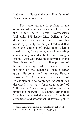Haj Amin Al-Husseni, the pro-Hitler father of Palestinian nationalism.

The same attitude is evident in the opinions of campus leaders of SJP in the United States. Former Northeastern University SJP leader Max Geller, a Jew, drew much attention to himself and his cause by proudly donning a headband that bore the emblem of Palestinian Islamic Jihad; posing for a photograph while holding a machine gun and a bullet belt during a friendly visit with Palestinian terrorists in the West Bank; and posting online pictures of himself wearing T-shirts adorned with the flag of the Lebanese Islamic terror group Hezbollah and its leader, Hassan Nasrallah<sup>32</sup> A staunch advocate of Palestinian suicide bombings, Nasrallah has described Israel as a "cancerous entity" of "ultimate evil" whose very existence is "both unjust and unlawful." He claims, further, that "the Jews invented the legend of the Nazi atrocities," and asserts that "if Jews all gather

<sup>32</sup> https://canarymission.org/individuals/max-geller/; http:// tinyurl.com/jfq5zrl; http://tinyurl.com/gq3gy2j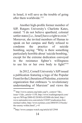in Israel, it will save us the trouble of going after them worldwide<sup>"33</sup>

Another high-profile former member of SJP, Rutgers University's Charlotte Kates, stated: "I do not believe apartheid, colonial settler states [i.e., Israel] have a right to exist." Moreover, she invited members of Hamas to speak on her campus and flatly refused to condemn the practice of suicide bombing, saying: "Why is there something particularly horrible about 'suicide bombing,' except for the extreme dedication conveyed in the resistance fighter's willingness to use his or her own body to fight?"<sup>34</sup>

In 2012, Cornell University's SJP issued a publication featuring a logo of the Popular Front for the Liberation of Palestine, a terrorist organization that embraces "a revolutionary understanding of Marxism" and views the

<sup>33</sup> http://www.camera.org/index.asp?x\_context=7&x\_ issue=11&x\_article=1158; http://www.washingtonpost.com/ wp-srv/WPcap/2000-02/20/003r-022000-idx.html; http:// www.nationalreview.com/article/218207/eradication-firstmichael-rubin; http://www.nytimes.com/2004/05/23/books/ the-enemy-within.html? $r=0$ 

<sup>34</sup>http://www.campus-watch.org/article/id/12944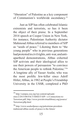"liberation" of Palestine as a key component of Communism's worldwide ascendancy.<sup>35</sup>

Just as SJP has often celebrated Islamic extremists and terrorists, so has it been the object of their praise. In a September 2014 speech at Cooper Union in New York, for instance, Palestinian Authority dictator Mahmoud Abbas referred to members of SJP as "seeds of peace." Likening them to "the young people" who in previous generations had protested in civil rights, anti-war, and antiapartheid demonstrations, Abbas exhorted SJP activists and their ideological allies to use their powers of persuasion "to convince the American people to rethink Palestine."36 A longtime ally of Yasser Arafat, who was the most prolific Jew-killer since Adolf Hitler, Abbas, in 1982 at People's Friendship University in the USSR, completed a PhD

<sup>35</sup> http://campus.zoa.org/wp-content/uploads/ sites/2/2015/08/FACT-SHEET-SJP---s-Connections-to-Terrorism.pdf; http://www.jewishvirtuallibrary.org/jsource/ Terrorism/pflp.html

<sup>36</sup> http://www.seedsofpeace.org/palestinian-presidentmahmoud-abbas-seeds-of-peace-is-the-future/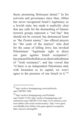thesis promoting Holocaust denial.37 In his activism and governance since then, Abbas has never recognized Israel's legitimacy as a Jewish state; has made it explicitly clear that any calls for the dismantling of Islamic terrorist groups represent a "red line" that should not be crossed; has denounced Israel as "the Zionist enemy"; has offered prayers for "the souls of the martyrs" who died for the cause of killing Jews; has invoked Palestinians' "legitimate right to direct our guns against Israeli occupation"; has praised Hezbollah as an ideal embodiment of "Arab resistance"; and has vowed that "if there is an independent Palestinian state with Jerusalem as its capital, we won't agree to the presence of one Israeli in it."<sup>38</sup>

 $^{37}$ http://archive.frontpagemag.com/readArticle. aspx?ARTID=1088

<sup>38</sup> http://archive.frontpagemag.com/Printable. aspx?ArtId=31702; http://archive.frontpagemag.com/ readArticle.aspx?ARTID=2310; http://www.cbsnews.com/ news/abbas-calls-israel-zionist-enemy/; http://www.jpost. com/Middle-East/Abbas-Aim-guns-against-occupation; http://tinyurl.com/kagdf55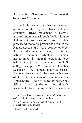### **SJP's Role In The Boycott, Divestment & Sanctions Movement**

SJP is America's leading campus promoter of the Boycott, Divestment, and Sanctions (BDS) movement, a Hamasinspired and funded (through AMP) initiative that aims to use various forms of public protest and economic pressure to advance the Hamas agenda of Israel's destruction.<sup>39</sup> As the Anti-Defamation League's former national director, Abraham Foxman, has put it, SJP is "the main organizing force behind the [BDS] campaigns" on U.S. college campuses.40 Similarly, Jonathan Schanzer of the Foundation for Defense of Democracies calls SJP "the most visible arm of the BDS campaign on campuses in the United States."41 And *NGO Monitor* describes SJP as "the organization most directly responsible for creating a hostile campus

<sup>39</sup> http://www.discoverthenetworks.org/viewSubCategory. asp?id=250; http://jcpa.org/unmasking-bds/

<sup>40</sup> http://forward.com/news/israel/308236/the-guerillapolitical-warriors-on-campus/

<sup>41</sup>http://tinyurl.com/jfqwuho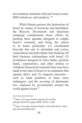environment saturated with anti-Israel events, BDS initiatives, and speakers."42

While Hamas pursues the destruction of Israel by means of terrorism and bloodshed, the Boycott, Divestment and Sanctions campaign complements those efforts by pushing three agendas designed to cripple Israel's economy and bring the nation to its knees politically: (1) coordinated boycotts that aim to intimidate and coerce corporations and individuals into breaking off their business relationships with Israel; (2) resolutions designed to force banks, pension funds, corporations, and other entities to withdraw financial investments they may have made in the state of Israel or in companies that operate there; and (3) targeted sanctions such as trade penalties or bans, arms embargoes, and the severing of diplomatic ties—imposed by governments around the world against Israel.<sup>43</sup>

<sup>42</sup> http://www.ngo-monitor.org/nm/wp-content/ uploads/2016/03/Campus-BDS\_FINAL-2.pdf

<sup>43</sup> http://www.ngo-monitor.org/key-issues/bds/about/; http:// jcpa.org/unmasking-bds/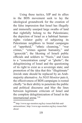Using these tactics, SJP and its allies in the BDS movement seek to lay the ideological groundwork for the creation of the false impression that Israel has illegally and immorally usurped large swaths of land that rightfully belong to the Palestinians; the depiction of Israel as a habitual humanrights violator guilty of subjecting its Palestinian neighbors to brutal campaigns of "apartheid," "ethnic cleansing," "war crimes," "crimes against humanity," and "genocide"; the likening of Israeli public officials and soldiers to "Nazis," and Gaza to a "concentration camp" or "ghetto"; the delegitimizing of Israel and the questioning of its right to exist as a sovereign state; and promotion of the idea that this "illegitimate" Jewish state should be replaced by an Arabmajority alternative. As *NGO Monitor* puts it, the effectiveness of BDS campaigns is rooted chiefly "in their ability to penetrate the public and political discourse and blur the lines between legitimate criticism of Israel and the complete delegitimization of Israel in the international arena<sup>"44</sup>

<sup>44</sup> http://www.ngo-monitor.org/key-issues/bds/bds-andantisemitism/; http://www.ngo-monitor.org/key-issues/bds/ about/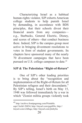Characterizing Israel as a habitual human-rights violator, SJP exhorts American college students to help punish Israel by demanding, in accordance with BDS principles, that their schools divest their financial assets from any companies e.g., Starbucks, General Electric, Disney, and scores of others—that conduct business there. Indeed, SJP is the campus group most active in bringing divestment resolutions to votes in front of student governments. Its chapters have sponsored many of the nearly 70 divestment campaigns that have been pursued on U.S. college campuses to date.<sup>45</sup>

### **SJP & The Palestinian "Right-of-Return"**

 One of SJP's other leading priorities is to bring about the "recognition and implementation of the Right-of-Return for all Palestinian refugees and their descendants." By SJP's telling, Israel's birth on May 15, 1948 was followed immediately by a war in which "Zionist militia groups violently took

<sup>45</sup> http://archive.frontpagemag.com/Printable. aspx?ArtId=20854; http://tinyurl.com/gqu8f4x; http:// tinyurl.com/o3d8agc; http://tinyurl.com/jlmbybu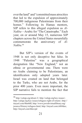over the land" and "committed mass atrocities that led to the expulsion of approximately 700,000 indigenous Palestinians from their homes." Following its Hamas mentors, SJP refers to this alleged expulsion as *Al-Nakba*—Arabic for "The Catastrophe." Each year, on or around May 15, numerous SJP chapters across the United States mournfully commemorate the anniversary of *Al-Nakba*. 46

But SJP's version of the events of 1948 is not only deceptive but false. In 1948 "Palestine" was a geographical designation like "New England," not an ethnic or governmental one. There were no Arabs claiming to be Palestinians, an identification only adopted years later. Israel was created on land that belonged to the Turks, who are not Arabs, for the prior 400 years. Even more important, the SJP narrative fails to mention the fact that

<sup>46</sup> http://calsjp.org/about-2/; http://calsjp.org/key-issues/; http://calsjp.org/key-issues/refugees-right-of-return/; http:// tinyurl.com/8hn6bfl; http://www.jewishvirtuallibrary.org/ jsource/History/refugees.html; http://tinyurl.com/z6b9dax; http://tinyurl.com/htksvpd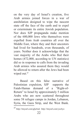on the very day of Israel's creation, five Arab armies joined forces in a war of annihilation designed to wipe the nascent state off the face of the earth and to expel or exterminate its entire Jewish population. Nor does SJP propaganda make mention of the 600,000 Jews who themselves were expelled from Arab countries all over the Middle East, where they and their ancestors had lived for hundreds, even thousands, of years. Neither does it acknowledge that the vast majority of the Arabs who fled their homes (472,000, according to UN statistics) did so in response to calls from the invading Arab armies who assured them they would be allowed to return after the Jews had been wiped out.<sup>47</sup>

Based on this false narrative of Palestinian expulsion, SJP supports the Fatah-Hamas demand of a "Right-of-Return" to Israel by approximately 5 million Arabs who are now scattered throughout some 58 refugee camps in Jordan, Lebanon, Syria, the Gaza Strip, and the West Bank.

<sup>47</sup> http://tinyurl.com/gljc6sd; http://tinyurl.com/ysc6yo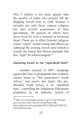This 5 million is ten times greater than the number of Arabs who actually left the fledgling Jewish state in 1948, because it includes not only those original refugees but also several generations of their descendants, 90 percent of whom have never lived for even a moment in territorial Israel. These are in effect fictional refugees whose "return" would swamp and effectively submerge the existing Jewish state (which is exactly the reason that Hamas demands that this "right" be acknowledged).<sup>48</sup>

### **Smearing Israel As An "Apartheid State"**

Another element of SJP's campaign against the Jews is propaganda that routinely smears Israel as "this generation's South Africa," and asserts that Israel, like pre-Mandela South Africa, is an "apartheid state" controlling the indigenous Palestinian population by an elaborate system of

<sup>48</sup> http://www.investigativeproject.org/3313/sjp-dialoguegoes-nowhere; http://tinyurl.com/pp7kaax; http:// discoverthenetworks.org/guides/Why%20Israel%20Is%20 The%20Victim.htm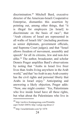discrimination.49 Mitchell Bard, executive director of the American-Israeli Cooperative Enterprise, dismantles this assertion by pointing out, among other things, that "it is illegal for employers [in Israel] to discriminate on the basis of race"; that "Arab citizens of Israel are represented in all walks of Israeli life" (including positions as senior diplomats, government officials, and Supreme Court judges); and that "Israel allows freedom of movement, assembly and speech" for all its citizens, Jew and non-Jew alike.50 The author, broadcaster, and scholar Dennis Prager amplifies Bard's observations by noting that "Arabs in Israel live freer lives than Arabs living anywhere in the Arab world," and that "no Arab in any Arab country has the civil rights and personal liberty that Arabs in Israel enjoy." Anticipating and answering a likely objection, Prager adds: "Now, one might counter: 'Yes, Palestinians who live inside Israel have all these rights, but what about the Palestinians who live in

<sup>49</sup> http://archive.frontpagemag.com/Printable. aspx?ArtId=20854; http://calsjp.org/about-2/

<sup>50</sup> http://israeldefender.com/?p=1078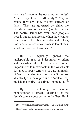what are known as the occupied territories? Aren't they treated differently?' Yes, of course they are—they are not citizens of Israel. They are governed by either the Palestinian Authority (Fatah) or by Hamas. The control Israel has over these people's lives is largely manifested when they want to enter Israel. Then they are subjected to long lines and strict searches, because Israel must weed out potential terrorists."<sup>51</sup>

But SJP typically ignores the undisputable fact of Palestinian terrorism and describes "the checkpoints and other impediments to movement" in the West Bank designed to thwart terrorists, as ugly hallmarks of "an apartheid regime" that seeks "to control all activity" in the region and to "collectively punish the entire Palestinian population."52

By SJP's reckoning, yet another manifestation of Israeli "apartheid" is the Jewish state's construction in the West Bank

<sup>51</sup> http://www.dennisprager.com/israel----an-apartheid-state/

<sup>52</sup> http://calsjp.org/key-issues/occupation-and-realities/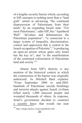of a lengthy security barrier which, according to SJP, amounts to nothing more than a "land grab" aimed at advancing "the continued dispossession of Palestinians from their lands" by an expanding Israeli state. "For most Palestinians," adds SJP, this "Apartheid Wall" "devalues and dehumanizes the Palestinian population"; "is connected to a larger system of inequality, discrimination, control and oppression that is central to the Israeli occupation of Palestine"; "is producing an open-air prison whose gates only Israel has the key to"; and "is the manifestation of the continued colonization of Palestinian land and society."<sup>53</sup>

Absent from SJP's rhetoric is any mention of the historical context in which the construction of the barrier was originally authorized. As Mitchell Bard explains: "From September 2000 to mid-2005, hundreds of Palestinian suicide bombings and terrorist attacks against Israeli civilians killed nearly 1,000 innocent people and wounded thousands of others. In response, Israel's government decided to construct a security fence that would run near

<sup>53</sup> http://calsjp.org/key-issues/apartheid-wall/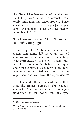the 'Green Line' between Israel and the West Bank to prevent Palestinian terrorists from easily infiltrating into Israel proper.... Since construction of the fence began [in August 2003], the number of attacks has declined by more than 90%."<sup>54</sup>

# **The Hamas-Inspired "Anti Normalization" Campaign**

Viewing the Arab-Israeli conflict as a zero-sum game, SJP views any sort of compromise with Israel as fundamentally counterproductive. As one SJP student puts it: "This is not a conflict between two equal and opposite parties.... You have an occupier, you have the occupied. And you have the oppressors and you have the oppressed."55

This is the Hamas view of the conflict. And like Hamas, numerous SJP chapters conduct "anti-normalization" campaigns predicated on the notion that any type

<sup>54</sup> http://tinyurl.com/26rtzm

<sup>55</sup> http://www.investigativeproject.org/3313/sjp-dialoguegoes-nowhere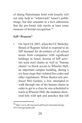of dialog Palestinians hold with Israelis will not only help to "whitewash" Israel's public image, but also amounts to a tacit admission that the pro-Israel side merits at least some measure of formal recognition.<sup>56</sup>

# **SJP "Protests"**

• On April 24, 2001, when the UC Berkeley Board of Regents failed to respond to an SJP demand for divestiture of all school assets from companies with significant holdings in Israel, dozens of SJP activists used steel chains as well as "human chains" to block access to Wheeler Hall, an important campus building, during a six-hour siege that violated fire codes and other regulations. When theater-arts professor Mel Gordon, a Jew, attempted to walk through one of the human chains in order to get to a class he was scheduled to teach in Wheeler Hall, the students showered him with spit and punches that left

<sup>56</sup> http://www.adl.org/assets/pdf/israel-international/sjp-2015-backgrounder.pdf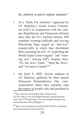the professor in need of medical treatment.<sup>57</sup>

- At a "Rally For America" organized by UC Berkeley's Israel Action Committee (IAC) in conjunction with the campus Republicans and Democrats thirteen days after the 9/11 terrorist attacks, SJP members wearing kaffiyehs and waving Palestinian flags staged an "anti-war" counter-rally in which they distributed fliers accusing the IAC of "exploiting the World Trade Center tragedy" and "wanting war." Among SJP's slogans were: "It's the Jews' Fault," "Stop the Jews," and "Go back to Israel!"<sup>58</sup>
- On April 9, 2002, Jewish students at UC Berkeley gathered for their annual Holocaust Remembrance Day commemoration where they solemnly read the names of people who had perished at

<sup>57</sup>http://tinyurl.com/jxaehep; http://tinyurl.com/ jt2c3x2; http://www.investigativeproject.org/documents/ case\_docs/1709.pdf; http://www.investigativeproject.org/ documents/misc/667.pdf#page=2

<sup>58</sup> http://www.jweekly.com/article/full/16540/u-c-berkeleyjews-citevocal-anti-israel-activity/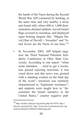the hands of the Nazis during the Second World War. SJP countered by holding, at the same time and very nearby, a noisy anti-Israel rally where 600 to 1,000 demonstrators shouted epithets, waved Israeli flags covered in swastikas, and displayed signs bearing slogans like: "Magen David [Star of David]  $=$  Swastika" and "Israel lovers are the Nazis of our time."59

• In November 2003, SJP helped organize the Third National Palestine Solidarity Conference at Ohio State University. According to one report: "when some attendees … tried to get a resolution passed rejecting terrorism, it was voted down and this news was greeted with a standing ovation on the final day of the event"; terrorism was routinely characterized as "legitimate resistance"; and students were taught how to "deconstruct the Israeli narrative in the United States," counter negative pub-

<sup>59</sup> http://archive.dailycal.org/article.php?id=8263; http:// tinyurl.com/jmnc92c; http://www.discoverthenetworks.org/ Articles/Muslin%20Hate%20Groups.pdf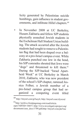licity generated by Palestinian suicide bombings, gain influence in student governments, and infiltrate Hillel chapters.<sup>60</sup>

• In November 2008 at UC Berkeley, Husam Zakharia and fellow SJP students physically assaulted Jewish students in the Eschelman Hall Student Union building. The attack occurred after the Jewish students had sought to remove a Palestinian flag that had been draped over a balcony at a pro-Israel campus event. While Zakharia punched one Jew in the head, his SJP comrades shouted that Jews were "dogs" and threatened to kill them.<sup>61</sup> During the SJP-backed "Israel Apartheid Week" at UC Berkeley in March 2010, Zakharia, who was now president of the school's SJP chapter, rammed Jessica Felber, a Jewish member of a pro-Israel campus group that had organized a competing event titled

<sup>60</sup> http://tinyurl.com/gt3uey6; http://tinyurl.com/zlyxexd

<sup>61</sup>http://archive.frontpagemag.com/readArticle. aspx?ARTID=34657; http://www.investigativeproject.org/ documents/case\_docs/1709.pdf;http://tinyurl.com/jdc5sac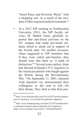"Israel Peace and Diversity Week," with a shopping cart. As a result of the incident, Felber required medical treatment.<sup>62</sup>

• At a 2012 SJP meeting at Northeastern University (NU), the SJP faculty advisor, M. Shahid Alam, gleefully reported that anti-Israel activism on the NU campus had made pro-Israel students afraid to speak out in support of the Jewish state. On another occasion, Alam suggested to SJP members that if they were called anti-Semites, they should wear that label as "a mark of distinction."63 Several years earlier, Alam had likened al-Qaeda's 9/11 hijackers to the American patriots who fought against the British during the Revolutionary War: "On September 11, 2001, nineteen Arab hijackers too demonstrated their willingness to die—and to kill—for their dream. They died so that their peo-

<sup>62</sup> http://www.berkeleyside.com/2011/03/07/jewish-studentsues-uc-berkeley-over-assault-by-palestine-supporter/

<sup>63</sup> http://www.frontpagemag.com/fpm/221247/northeasternu-suspends-students-justice-palestine-ilya-feoktistov; https://www.youtube.com/watch?v=A9mmOilcDA4;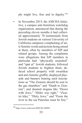ple might live, free and in dignity."64

• In November 2015, the AMCHA Initiative, a campus anti-Semitism watchdog organization, announced that during the preceding eleven months it had collected approximately 70 testimonials from Jewish students on various University of California campuses complaining of anti-Semitic words and actions being aimed at them, often by members of SJP and related groups. Among the complaints were allegations that SJP members in particular had: "physically assaulted" and "spat at" Jewish students; followed Jewish students to frighten them; defaced school property with swastikas and anti-Semitic graffiti; displayed placards and banners bearing such inscriptions as "The Zionists should be sent to the gas chambers" and "Death to Zionism"; and shouted slogans like "Down with Jews," "Hitler was right," "Zionist kike," "Dirty Jews," and "From the river to the sea Palestine must be free."

<sup>64</sup> http://www.wnd.com/2005/02/28989/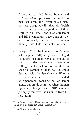According to AMCHA co-founder and UC Santa Cruz professor Tammi Rossman-Benjamin, the "testimonials demonstrate unequivocally that all Jewish students are targeted, regardless of their feelings on Israel, and that anti-Israel and BDS campaigns have gone far beyond scholarly debate and criticism directly into hate and antisemitism."<sup>65</sup>

In April 2016, the University of Minnesota chapter of SJP, citing Israel's alleged violations of human rights, attempted to pass a student-government resolution calling for the school to divest from specific companies that had business dealings with the Jewish state. When a pro-Israel coalition of students added an amendment focusing not on Israel alone, but on all countries where human rights were being violated, SJP members promptly removed their names from the resolution.<sup>66</sup>

 $^{65}$ http://tinyurl.com/zxd7gxd; http://www.amchainitiative. org/uc-students-speak-out-about-antisemitism/

<sup>66</sup> http://tinyurl.com/h8xbh4a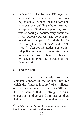• In May 2016, UC Irvine's SJP organized a protest in which a mob of screaming students pounded on the doors and windows of a building where a campus group called Students Supporting Israel was screening a documentary about the Israel Defense Forces. The demonstrators shouted things like "Intifada, Intifada—Long live the Intifada!" and "F\*\*k Israel!" After Jewish students called local police and campus law-enforcement to come and protect them, SJP boasted on Facebook about the "success" of the demonstration<sup>67</sup>

# **SJP and the Left**

SJP benefits enormously from the lock-step support of the political left for which the "intersectionality" of all alleged oppressions is a matter of faith. As SJP puts it: "We believe that no struggle against oppression is divorced from one another, that in order to resist structural oppression

<sup>67</sup> http://observer.com/2016/05/jewish-woman-forced-tohide-from-anti-israel-activists-at-uc-irvine/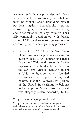we must embody the principles and ideals we envision for a just society, and that we must be vigilant about upholding ethical positions against homophobia, sexism, racism, bigotry, classism, colonialism, and discrimination of any form."68 Thus SJP commonly collaborates with black, Latino, LGBT, and socialist organizations in sponsoring events and organizing protests.<sup>69</sup>

• In the fall of 2012, SJP's San Diego State University chapter co-sponsored an event with MEChA, comparing Israel's "Apartheid Wall" with proposals for the expansion of a border fence between the U.S. and Mexico. MEChA favors a U.S. immigration policy founded on amnesty and open borders, and believes that the Southwestern portion of the United States rightfully belongs to the people of Mexico, from whom it was allegedly stolen. According to the

<sup>68</sup> http://www.nationalsjp.org/our-vision.html

<sup>69</sup> http://forward.com/news/israel/308236/the-guerillapolitical-warriors-on-campus/; http://www.adl.org/assets/ pdf/israel-international/sjp-2015-backgrounder.pdf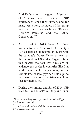Anti-Defamation League, "Members of MEChA have … attended SJP conferences since they started, and for many years now, members of the group have led sessions such as 'Beyond Borders: Palestine and the Latina Connection<sup>"770</sup>

- As part of its 2013 Israel Apartheid Week activities, New York University's SJP chapter co-sponsored an event with the campus's Queer Union as well as the International Socialist Organization, this despite the fact that gays are an endangered species in countries like Iran while Israel is the only country in the Middle East where gays can hold a pride parade or live a normal existence without fear for their safety.<sup>71</sup>
- During the summer and fall of 2014, SJP tried to liken Israel's military incursion

<sup>70</sup>http://www.adl.org/assets/pdf/israel-international/sjp-2015-backgrounder.pdf

<sup>71</sup> http://www.adl.org/assets/pdf/israel-international/sjp-2015-backgrounder.pdf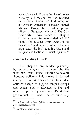against Hamas in Gaza to the alleged police brutality and racism that had resulted in the fatal August 2014 shooting of an African American teenager named Michael Brown by a white police officer in Ferguson, Missouri. The City University of New York's SJP chapter hosted a panel discussion titled "CUNY Stands for Justice: From Ferguson to Palestine," and several other chapters organized "die-ins" equating Gaza and Ferguson as bastions of racist injustice.<sup>72</sup>

### **Campus Funding for SJP**

SJP chapters are funded primarily by university grants that range, for the most part, from several hundred to several thousand dollars.73 This money is derived chiefly from student-activity fees that colleges charge to support campus groups and events, and is allocated to SJP and other recipients by each school's student government. SJP also receives university

<sup>72</sup> http://www.adl.org/assets/pdf/israel-international/sjp-2015-backgrounder.pdf

<sup>73</sup> http://tinyurl.com/pp7kaax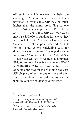offices from which to carry out their hate campaigns. At some universities, the funds provided to groups like SJP may be much higher than the norm. According to one source, "At larger campuses like UC Berkeley or UCLA,... clubs like SJP can receive as much as \$30,000 in funding for events they wish to hold.... At Concordia University in Canada,... SJP at one point received \$50,000 for anti-Israel actions (including calls for divestment) on campus."74 Along the same lines, *NGO Monitor* notes that "SJP at San Diego State University received a combined \$14,000 to host 'Palestine Awareness Week' in 2010-2013."75 To maximize the likelihood of being approved for their funding requests, SJP chapters often run one or more of their student members or sympathizers for seats in their university's student government.<sup>76</sup>

<sup>74</sup> http://tinyurl.com/zlyxexd

<sup>75</sup> http://www.ngo-monitor.org/nm/wp-content/ uploads/2016/03/Campus-BDS\_FINAL-2.pdf

<sup>76</sup> http://canadafreepress.com/images/uploads/ StudentsforJusticeInPalestine.pdf